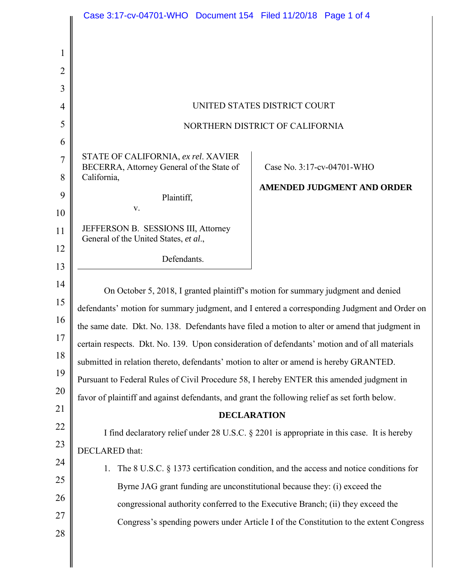|                                                                                                                               | Case 3:17-cv-04701-WHO  Document 154  Filed 11/20/18  Page 1 of 4                                                                                                                                                                                                                                                                                                                                                                                                                                                                                                                                                                                                                                                                                                                                                                                                                                                                     |
|-------------------------------------------------------------------------------------------------------------------------------|---------------------------------------------------------------------------------------------------------------------------------------------------------------------------------------------------------------------------------------------------------------------------------------------------------------------------------------------------------------------------------------------------------------------------------------------------------------------------------------------------------------------------------------------------------------------------------------------------------------------------------------------------------------------------------------------------------------------------------------------------------------------------------------------------------------------------------------------------------------------------------------------------------------------------------------|
| $\mathbf{1}$<br>$\overline{2}$<br>3<br>4<br>5<br>6<br>7<br>8<br>9<br>10<br>11<br>12<br>13<br>14<br>15<br>16<br>17<br>18<br>19 | UNITED STATES DISTRICT COURT<br>NORTHERN DISTRICT OF CALIFORNIA<br>STATE OF CALIFORNIA, ex rel. XAVIER<br>BECERRA, Attorney General of the State of<br>Case No. 3:17-cv-04701-WHO<br>California,<br><b>AMENDED JUDGMENT AND ORDER</b><br>Plaintiff,<br>V.<br>JEFFERSON B. SESSIONS III, Attorney<br>General of the United States, et al.,<br>Defendants.<br>On October 5, 2018, I granted plaintiff's motion for summary judgment and denied<br>defendants' motion for summary judgment, and I entered a corresponding Judgment and Order on<br>the same date. Dkt. No. 138. Defendants have filed a motion to alter or amend that judgment in<br>certain respects. Dkt. No. 139. Upon consideration of defendants' motion and of all materials<br>submitted in relation thereto, defendants' motion to alter or amend is hereby GRANTED.<br>Pursuant to Federal Rules of Civil Procedure 58, I hereby ENTER this amended judgment in |
|                                                                                                                               |                                                                                                                                                                                                                                                                                                                                                                                                                                                                                                                                                                                                                                                                                                                                                                                                                                                                                                                                       |
| 20                                                                                                                            |                                                                                                                                                                                                                                                                                                                                                                                                                                                                                                                                                                                                                                                                                                                                                                                                                                                                                                                                       |
| 21                                                                                                                            | favor of plaintiff and against defendants, and grant the following relief as set forth below.<br><b>DECLARATION</b>                                                                                                                                                                                                                                                                                                                                                                                                                                                                                                                                                                                                                                                                                                                                                                                                                   |
| 22<br>23<br>24<br>25<br>26<br>27<br>28                                                                                        | I find declaratory relief under 28 U.S.C. § 2201 is appropriate in this case. It is hereby<br>DECLARED that:<br>The 8 U.S.C. § 1373 certification condition, and the access and notice conditions for<br>1.<br>Byrne JAG grant funding are unconstitutional because they: (i) exceed the<br>congressional authority conferred to the Executive Branch; (ii) they exceed the<br>Congress's spending powers under Article I of the Constitution to the extent Congress                                                                                                                                                                                                                                                                                                                                                                                                                                                                  |
|                                                                                                                               |                                                                                                                                                                                                                                                                                                                                                                                                                                                                                                                                                                                                                                                                                                                                                                                                                                                                                                                                       |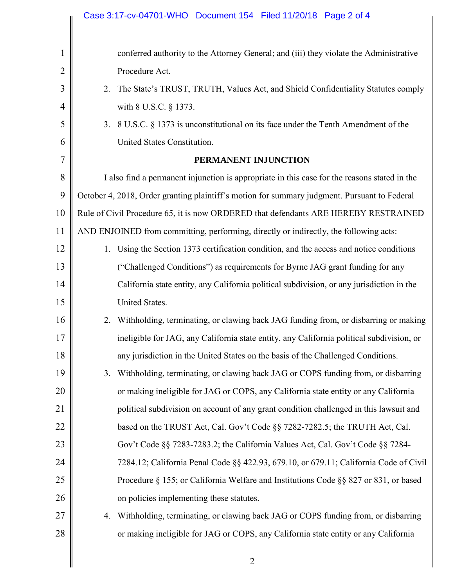|                | Case 3:17-cv-04701-WHO  Document 154  Filed 11/20/18  Page 2 of 4                            |
|----------------|----------------------------------------------------------------------------------------------|
|                |                                                                                              |
| $\mathbf{1}$   | conferred authority to the Attorney General; and (iii) they violate the Administrative       |
| $\overline{2}$ | Procedure Act.                                                                               |
| 3              | The State's TRUST, TRUTH, Values Act, and Shield Confidentiality Statutes comply<br>2.       |
| 4              | with 8 U.S.C. § 1373.                                                                        |
| 5              | 3. 8 U.S.C. § 1373 is unconstitutional on its face under the Tenth Amendment of the          |
| 6              | United States Constitution.                                                                  |
| 7              | PERMANENT INJUNCTION                                                                         |
| 8              | I also find a permanent injunction is appropriate in this case for the reasons stated in the |
| 9              | October 4, 2018, Order granting plaintiff's motion for summary judgment. Pursuant to Federal |
| 10             | Rule of Civil Procedure 65, it is now ORDERED that defendants ARE HEREBY RESTRAINED          |
| 11             | AND ENJOINED from committing, performing, directly or indirectly, the following acts:        |
| 12             | 1. Using the Section 1373 certification condition, and the access and notice conditions      |
| 13             | ("Challenged Conditions") as requirements for Byrne JAG grant funding for any                |
| 14             | California state entity, any California political subdivision, or any jurisdiction in the    |
| 15             | United States.                                                                               |
| 16             | 2. Withholding, terminating, or clawing back JAG funding from, or disbarring or making       |
| 17             | ineligible for JAG, any California state entity, any California political subdivision, or    |
| 18             | any jurisdiction in the United States on the basis of the Challenged Conditions.             |
| 19             | Withholding, terminating, or clawing back JAG or COPS funding from, or disbarring<br>3.      |
| 20             | or making ineligible for JAG or COPS, any California state entity or any California          |
| 21             | political subdivision on account of any grant condition challenged in this lawsuit and       |
| 22             | based on the TRUST Act, Cal. Gov't Code §§ 7282-7282.5; the TRUTH Act, Cal.                  |
| 23             | Gov't Code §§ 7283-7283.2; the California Values Act, Cal. Gov't Code §§ 7284-               |
| 24             | 7284.12; California Penal Code §§ 422.93, 679.10, or 679.11; California Code of Civil        |
| 25             | Procedure § 155; or California Welfare and Institutions Code §§ 827 or 831, or based         |
| 26             | on policies implementing these statutes.                                                     |
| 27             | Withholding, terminating, or clawing back JAG or COPS funding from, or disbarring<br>4.      |
| 28             | or making ineligible for JAG or COPS, any California state entity or any California          |
|                | $\overline{2}$                                                                               |
|                |                                                                                              |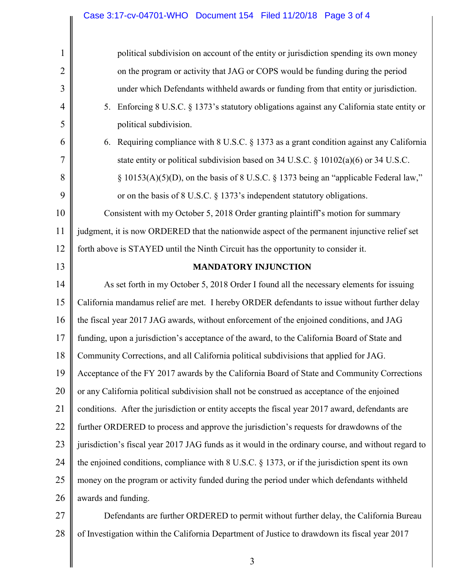|                | Case 3.17-CV-04701-WHO DOCUMENT 154 FIEU 11/20/18 Page 3 01 4                                       |
|----------------|-----------------------------------------------------------------------------------------------------|
| $\mathbf 1$    | political subdivision on account of the entity or jurisdiction spending its own money               |
| $\overline{2}$ | on the program or activity that JAG or COPS would be funding during the period                      |
| 3              | under which Defendants withheld awards or funding from that entity or jurisdiction.                 |
| $\overline{4}$ | Enforcing 8 U.S.C. § 1373's statutory obligations against any California state entity or<br>5.      |
| 5              | political subdivision.                                                                              |
| 6              | Requiring compliance with 8 U.S.C. § 1373 as a grant condition against any California<br>6.         |
| 7              | state entity or political subdivision based on 34 U.S.C. § 10102(a)(6) or 34 U.S.C.                 |
| 8              | § 10153(A)(5)(D), on the basis of 8 U.S.C. § 1373 being an "applicable Federal law,"                |
| 9              | or on the basis of 8 U.S.C. § 1373's independent statutory obligations.                             |
| 10             | Consistent with my October 5, 2018 Order granting plaintiff's motion for summary                    |
| 11             | judgment, it is now ORDERED that the nationwide aspect of the permanent injunctive relief set       |
| 12             | forth above is STAYED until the Ninth Circuit has the opportunity to consider it.                   |
| 13             | <b>MANDATORY INJUNCTION</b>                                                                         |
| 14             | As set forth in my October 5, 2018 Order I found all the necessary elements for issuing             |
| 15             | California mandamus relief are met. I hereby ORDER defendants to issue without further delay        |
| 16             | the fiscal year 2017 JAG awards, without enforcement of the enjoined conditions, and JAG            |
| 17             | funding, upon a jurisdiction's acceptance of the award, to the California Board of State and        |
| 18             | Community Corrections, and all California political subdivisions that applied for JAG.              |
| 19             | Acceptance of the FY 2017 awards by the California Board of State and Community Corrections         |
| 20             | or any California political subdivision shall not be construed as acceptance of the enjoined        |
| 21             | conditions. After the jurisdiction or entity accepts the fiscal year 2017 award, defendants are     |
| 22             | further ORDERED to process and approve the jurisdiction's requests for drawdowns of the             |
| 23             | jurisdiction's fiscal year 2017 JAG funds as it would in the ordinary course, and without regard to |
| 24             | the enjoined conditions, compliance with $8$ U.S.C. $\S$ 1373, or if the jurisdiction spent its own |
| 25             | money on the program or activity funded during the period under which defendants withheld           |
| 26             | awards and funding.                                                                                 |
| 27             | Defendants are further ORDERED to permit without further delay, the California Bureau               |

28 of Investigation within the California Department of Justice to drawdown its fiscal year 2017